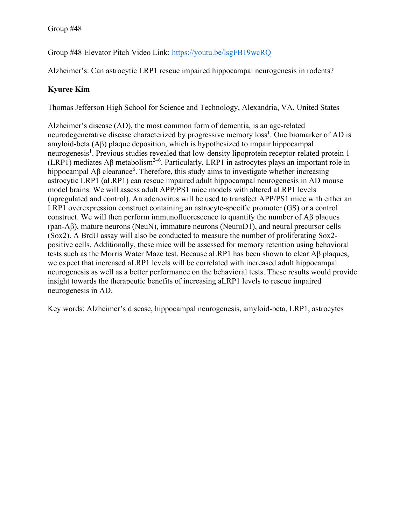Group #48 Elevator Pitch Video Link:<https://youtu.be/lsgFB19wcRQ>

Alzheimer's: Can astrocytic LRP1 rescue impaired hippocampal neurogenesis in rodents?

## **Kyuree Kim**

Thomas Jefferson High School for Science and Technology, Alexandria, VA, United States

Alzheimer's disease (AD), the most common form of dementia, is an age-related neurodegenerative disease characterized by progressive memory loss<sup>1</sup>. One biomarker of AD is amyloid-beta (Aβ) plaque deposition, which is hypothesized to impair hippocampal neurogenesis<sup>1</sup>. Previous studies revealed that low-density lipoprotein receptor-related protein 1 (LRP1) mediates Aβ metabolism<sup>2-6</sup>. Particularly, LRP1 in astrocytes plays an important role in hippocampal A $\beta$  clearance<sup>6</sup>. Therefore, this study aims to investigate whether increasing astrocytic LRP1 (aLRP1) can rescue impaired adult hippocampal neurogenesis in AD mouse model brains. We will assess adult APP/PS1 mice models with altered aLRP1 levels (upregulated and control). An adenovirus will be used to transfect APP/PS1 mice with either an LRP1 overexpression construct containing an astrocyte-specific promoter (GS) or a control construct. We will then perform immunofluorescence to quantify the number of  $\mathbf{A}\beta$  plaques (pan-Aβ), mature neurons (NeuN), immature neurons (NeuroD1), and neural precursor cells (Sox2). A BrdU assay will also be conducted to measure the number of proliferating Sox2 positive cells. Additionally, these mice will be assessed for memory retention using behavioral tests such as the Morris Water Maze test. Because aLRP1 has been shown to clear Aβ plaques, we expect that increased aLRP1 levels will be correlated with increased adult hippocampal neurogenesis as well as a better performance on the behavioral tests. These results would provide insight towards the therapeutic benefits of increasing aLRP1 levels to rescue impaired neurogenesis in AD.

Key words: Alzheimer's disease, hippocampal neurogenesis, amyloid-beta, LRP1, astrocytes